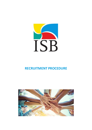

# **RECRUITMENT PROCEDURE**

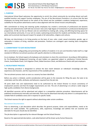

# **1. PURPOSE**

International School Basel welcomes the opportunity to enrich the school community by recruiting vibrant and wellqualified teachers and support function employees. The aim of the Recruitment Procedure is to ensure that the best employees are being hired based on the needs of the School and the candidate's academic background, experience, suitability for the position advertised as well as value alignment with the School mission and philosophy.

ISB's commitment to hiring and retaining quality employees has created a community of professional and dynamic teaching and administrative staff with low turnover rates and a high degree of involvement in professional development programmes. At ISB, we live our Mission and are committed to creating safe, caring, and affirming learning spaces for our international community. It is our aim to create a welcoming environment for students and families from across the globe and to promote learning and respect for people of all nationalities, religions and cultures.

ISB does not discriminate in its hiring practice on the basis of race, color, creed, sexual orientation, gender, age or nationality in matters of hiring, retention and promotion. Positions are contingent upon meeting Swiss immigration regulations.

## **2. COMMITMENT TO SAFE RECRUITMENT**

ISB is committed to safeguarding and promoting the welfare of students in its care and therefore holds itself to a high standard of effective recruitment practices with specific attention to child protection.

As an employer, the School expects all employees and volunteers to share this commitment. According to ISB Guidelines for Pre-Employment Background Screening, all post holders are appointed subject to satisfactory Criminal Records Checks, Social Media Check, Civil Litigation Check, Global Sanctions Check, and Reference Checks with past employers.

### **3. RECRUITMENT PROCESS**

The following procedure is designated to achieve the best match between an individual's knowledge and skills, experience and character, and the requirements of the available job role.

The recruitment process starts as soon as a vacancy has been identified.

Before any action is initiated, careful consideration will be given to the necessity for filling the post, the tasks to be undertaken and the skills, attributes and behaviors required from the job role.

All posts (both new and replacement) need to be authorized by the School Director to ensure consistency of employment practice and that the budget requirements are met. The aim of advertising is to attract a wide range of high-quality candidates from diverse backgrounds.

All identified vacancies will be advertised and subject to a competitive selection procedure. Advertisements will be published simultaneously internally and externally. Posts may be advertised internally only where it is anticipated that a suitable field of candidates exists and in response to specific needs.

The School reserves the right to appoint without advertising under certain conditions.

#### Recruitment Documentation

Prior to advertising, a job description which describes the general purpose, duties and responsibilities, needs to be defined and made available. The qualifications, skills, experience, knowledge and abilities that are essential and desirable for the post should also be identified.

The job description is approved by the relevant Manager and the School Director.

Based on the approved job description, a job advertisement will be drawn up by Human Resources.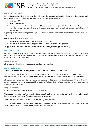

# Application Documentation

ISB requires each candidate to provide a thorough personal and professional profile. All applicants (both internal and external) are required to submit, at a minimum, a complete application including:

- up-to-date CV
- **•** letter of application
- names and contact details of at least two (although three is preferred) confidential professional references who have line-managed the candidate, one of which should ideally be the applicants current Head of School if appropriate

Depending on the nature of the position, copies of academic/technical certifications and additional references may be requested.

Applications will not be considered when:

- received via hardcopy rather than electronically as instructed
- CV and cover letter are in a language other than English (unless otherwise specified)

All applicants are subject to satisfactory references and pre-employment background screening.

#### Application Procedure

Candidates applying have to send their complete application to [recruitment@isbasel.ch](mailto:recruitment@isbasel.ch) or apply via allocated recruitment platforms: i.e. Search Associates, ISS Schrole, TES, LinkedIn, jobs.ch. The recruitment channels used will vary based on the nature of the vacant post.

#### Acknowledgement

All candidates will receive an automatic email confirmation of receipt.

## Applications Screening

According to the advertised vacancy, a relevant hiring team will be identified by the Director.

The hiring team will depend upon the position. This typically includes Human Resources, Department Heads, Vice Principals and Coordinators during the longlisting process and Principal and Director throughout the entire process.

All received applications are initially processed and reviewed by HR to confirm that candidates meet the requirements set on the position as well as permit considerations. Qualified candidate profiles are shared with the hiring team via Google Recruitment folder.

#### Long- and Shortlisting

Longlisting takes place as soon as possible after the closing date.

The appointed hiring team defines a longlist of candidates (usually a maximum of 6) to be interviewed in the first round by Line Manager, Vice Principal/Coordinator or senior colleague and HR.

The longlist interview team will include at least two hiring team members.

Shortlisted candidates are identified after the longlist interviews and presented to the Principal and/or other Leadership Team members as well as the Director for the final round of interview.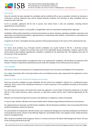

#### Interviewing

Once the shortlist has been decided, the candidates will be notified by HR as soon as possible. Invitation to interview is confirmed in writing. Adequate time will be allowed between invitation and interview to allow candidates time to prepare for their interview.

As far as possible, applicants will be met in person even where there is only one candidate, including internal appointments and promotions.

When an interview in person is not possible, a Google Meet, Zoom (or equivalent) meeting will be organised.

Candidates will be asked competency and personal questions as well as questions regarding candidate's awareness and observation of professional boundaries; appropriateness of relationships with children; commitment to and evidence of taking action to protect children.

A specific set of short- and longlist interview questions will be prepared based on the nature of the advertised job role.

#### School Visits

For Senior level positions (e.g. Principal) shortlist candidates are usually invited to ISB for a multi-day campus recruitment process. Finalists will normally meet each of the stakeholder groups (employees, students, parents) who will be asked to give feedback regarding the candidate's suitability for the advertised role. This feedback forms part of the Director's final consideration.

#### Recruiting Expenses

When travel and accommodation arrangements have to be organized for candidates, HR will obtain the approval of the Director / Director of Operations beforehand and will notify the candidate of the reimbursement procedures.

#### Final Candidate

The Director makes the final decision on all appointments based on the interviews and feedback of the hiring team.

As a matter of principle, ISB is not hiring teachers who are breaking contract unless approved by the applicant's current Head of School.

## Reference Checks and Pre-Employment Background Screening

Once the successful candidate has been identified, HR will contact the candidate's referees for a confidential written reference. One or more of the confidential references is a direct supervisor of the candidate (minimally at the Assistant Principal's level).

As a final step of the process, the School will contact the applicant's current Head of School (by telephone or by video call) for a final verbal reference; where necessary, an alternative contact will be used if deemed appropriate by the School.

Referees are contacted through their business email addresses or telephone numbers (if possible).

In case of need, referees' identities and contact details will be checked using professional directories and resources.

For registered Search Associates and ISS Schrole candidates, ISB will download candidates' Search Associates/ISS Schrole profiles (including the references) directly.

As a precondition of employment, ISB will conduct a pre-employment background screening including but not limited to Criminal Records Checks, Review of Sex Offender Registries, Social Media Check, Civil Litigation Check, Global Sanctions Check for all appointments.

ISB is using the accredited external agency, Avvanz, to conduct and secure the above listed background checks. All costs of the screening will be borne by ISB.

ISB is authorized by the IB and an accredited member of the Council of International Schools and the New England Association of Schools and Colleges.